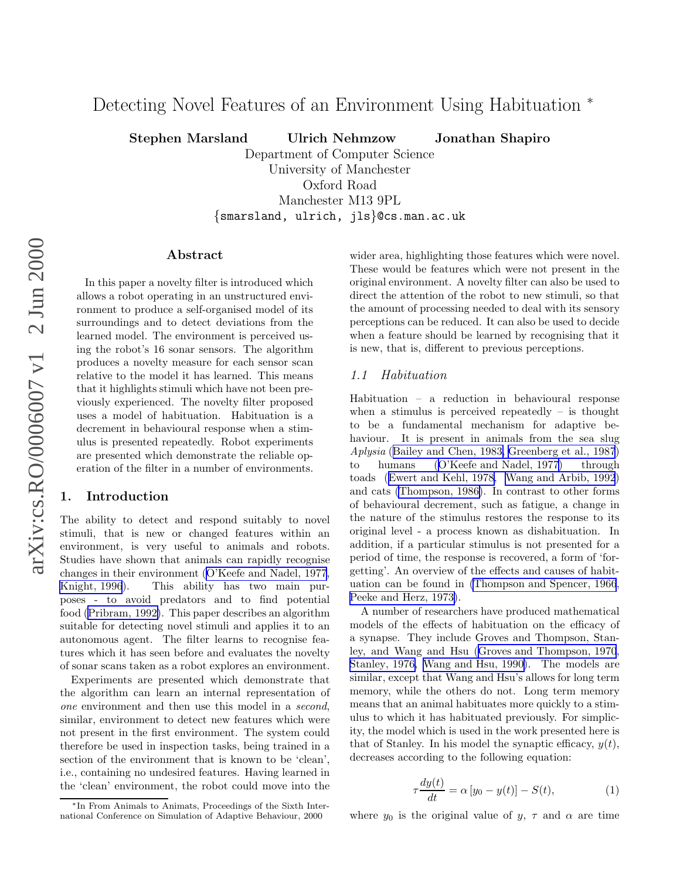# <span id="page-0-0"></span>Detecting Novel Features of an Environment Using Habituation <sup>\*</sup>

Stephen Marsland Ulrich Nehmzow Jonathan Shapiro

Department of Computer Science University of Manchester Oxford Road Manchester M13 9PL {smarsland, ulrich, jls }@cs.man.ac.uk

# Abstract

In this paper a novelty filter is introduced which allows a robot operating in an unstructured environment to produce a self-organised model of its surroundings and to detect deviations from the learned model. The environment is perceived using the robot's 16 sonar sensors. The algorithm produces a novelty measure for each sensor scan relative to the model it has learned. This means that it highlights stimuli which have not been previously experienced. The novelty filter proposed uses a model of habituation. Habituation is a decrement in behavioural response when a stimulus is presented repeatedly. Robot experiments are presented which demonstrate the reliable operation of the filter in a number of environments.

## 1. Introduction

The ability to detect and respond suitably to novel stimuli, that is new or changed features within an environment, is very useful to animals and robots. Studies have shown that animals can rapidly recognise changes in their environment ([O'Keefe and Nadel, 1977](#page-9-0), [Knight, 1996](#page-9-0)). This ability has two main purposes - to avoid predators and to find potential food [\(Pribram, 1992\)](#page-9-0). This paper describes an algorithm suitable for detecting novel stimuli and applies it to an autonomous agent. The filter learns to recognise features which it has seen before and evaluates the novelty of sonar scans taken as a robot explores an environment.

Experiments are presented which demonstrate that the algorithm can learn an internal representation of one environment and then use this model in a second, similar, environment to detect new features which were not present in the first environment. The system could therefore be used in inspection tasks, being trained in a section of the environment that is known to be 'clean', i.e., containing no undesired features. Having learned in the 'clean' environment, the robot could move into the wider area, highlighting those features which were novel. These would be features which were not present in the original environment. A novelty filter can also be used to direct the attention of the robot to new stimuli, so that the amount of processing needed to deal with its sensory perceptions can be reduced. It can also be used to decide when a feature should be learned by recognising that it is new, that is, different to previous perceptions.

#### 1.1 Habituation

Habituation – a reduction in behavioural response when a stimulus is perceived repeatedly  $-$  is thought to be a fundamental mechanism for adaptive behaviour. It is present in animals from the sea slug Aplysia ([Bailey and Chen, 1983,](#page-8-0) [Greenberg et al., 1987](#page-9-0)) to humans ([O'Keefe and Nadel, 1977](#page-9-0)) through toads ([Ewert and Kehl, 1978, Wang and Arbib, 1992](#page-9-0)) and cats [\(Thompson, 1986\)](#page-9-0). In contrast to other forms of behavioural decrement, such as fatigue, a change in the nature of the stimulus restores the response to its original level - a process known as dishabituation. In addition, if a particular stimulus is not presented for a period of time, the response is recovered, a form of 'forgetting'. An overview of the effects and causes of habituation can be found in [\(Thompson and Spencer, 1966](#page-9-0), [Peeke and Herz, 1973\)](#page-9-0).

A number of researchers have produced mathematical models of the effects of habituation on the efficacy of a synapse. They include Groves and Thompson, Stanley, and Wang and Hsu ([Groves and Thompson, 1970](#page-9-0), [Stanley, 1976, Wang and Hsu, 1990\)](#page-9-0). The models are similar, except that Wang and Hsu's allows for long term memory, while the others do not. Long term memory means that an animal habituates more quickly to a stimulus to which it has habituated previously. For simplicity, the model which is used in the work presented here is that of Stanley. In his model the synaptic efficacy,  $y(t)$ , decreases according to the following equation:

$$
\tau \frac{dy(t)}{dt} = \alpha \left[ y_0 - y(t) \right] - S(t), \tag{1}
$$

where  $y_0$  is the original value of  $y, \tau$  and  $\alpha$  are time

<sup>∗</sup>In From Animals to Animats, Proceedings of the Sixth International Conference on Simulation of Adaptive Behaviour, 2000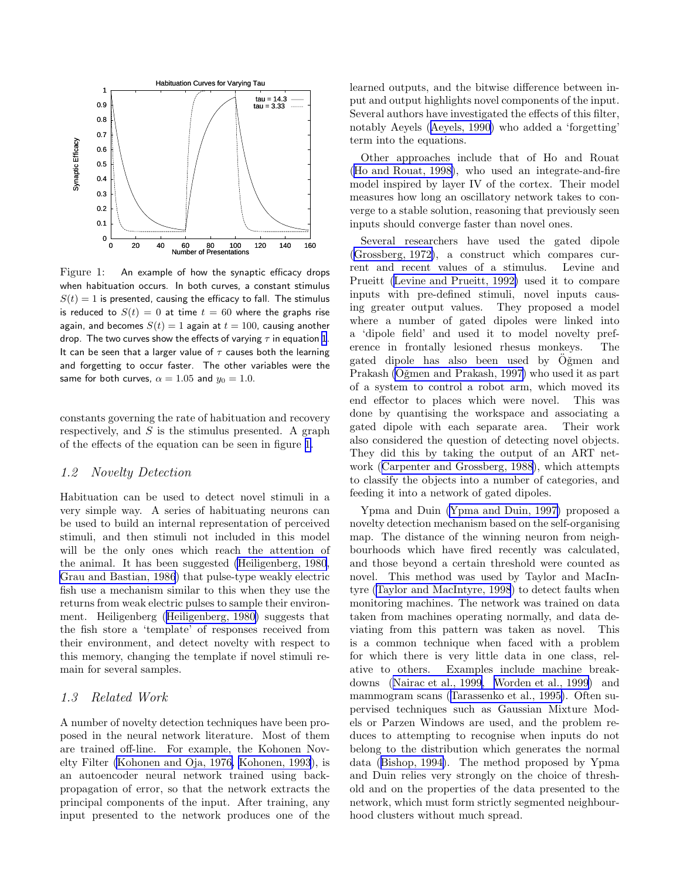<span id="page-1-0"></span>

Figure 1: An example of how the synaptic efficacy drops when habituation occurs. In both curves, a constant stimulus  $S(t) = 1$  is presented, causing the efficacy to fall. The stimulus is reduced to  $S(t) = 0$  at time  $t = 60$  where the graphs rise again, and becomes  $S(t) = 1$  again at  $t = 100$ , causing another drop. The two curves show the effects of varying  $\tau$  in equation [1](#page-0-0). It can be seen that a larger value of  $\tau$  causes both the learning and forgetting to occur faster. The other variables were the same for both curves,  $\alpha = 1.05$  and  $y_0 = 1.0$ .

constants governing the rate of habituation and recovery respectively, and  $S$  is the stimulus presented. A graph of the effects of the equation can be seen in figure 1.

#### 1.2 Novelty Detection

Habituation can be used to detect novel stimuli in a very simple way. A series of habituating neurons can be used to build an internal representation of perceived stimuli, and then stimuli not included in this model will be the only ones which reach the attention of the animal. It has been suggested [\(Heiligenberg, 1980](#page-9-0), [Grau and Bastian, 1986](#page-9-0)) that pulse-type weakly electric fish use a mechanism similar to this when they use the returns from weak electric pulses to sample their environment. Heiligenberg ([Heiligenberg, 1980\)](#page-9-0) suggests that the fish store a 'template' of responses received from their environment, and detect novelty with respect to this memory, changing the template if novel stimuli remain for several samples.

#### 1.3 Related Work

A number of novelty detection techniques have been proposed in the neural network literature. Most of them are trained off-line. For example, the Kohonen Novelty Filter [\(Kohonen and Oja, 1976, Kohonen, 1993](#page-9-0)), is an autoencoder neural network trained using backpropagation of error, so that the network extracts the principal components of the input. After training, any input presented to the network produces one of the learned outputs, and the bitwise difference between input and output highlights novel components of the input. Several authors have investigated the effects of this filter, notably Aeyels ([Aeyels, 1990\)](#page-8-0) who added a 'forgetting' term into the equations.

Other approaches include that of Ho and Rouat ([Ho and Rouat, 1998\)](#page-9-0), who used an integrate-and-fire model inspired by layer IV of the cortex. Their model measures how long an oscillatory network takes to converge to a stable solution, reasoning that previously seen inputs should converge faster than novel ones.

Several researchers have used the gated dipole ([Grossberg, 1972\)](#page-9-0), a construct which compares current and recent values of a stimulus. Levine and Prueitt ([Levine and Prueitt, 1992\)](#page-9-0) used it to compare inputs with pre-defined stimuli, novel inputs causing greater output values. They proposed a model where a number of gated dipoles were linked into a 'dipole field' and used it to model novelty preference in frontally lesioned rhesus monkeys. The gated dipole has also been used by Oğmen and Prakash (Oğmen and Prakash, 1997) who used it as part of a system to control a robot arm, which moved its end effector to places which were novel. This was done by quantising the workspace and associating a gated dipole with each separate area. Their work also considered the question of detecting novel objects. They did this by taking the output of an ART network ([Carpenter and Grossberg, 1988\)](#page-8-0), which attempts to classify the objects into a number of categories, and feeding it into a network of gated dipoles.

Ypma and Duin [\(Ypma and Duin, 1997\)](#page-9-0) proposed a novelty detection mechanism based on the self-organising map. The distance of the winning neuron from neighbourhoods which have fired recently was calculated, and those beyond a certain threshold were counted as novel. This method was used by Taylor and MacIntyre ([Taylor and MacIntyre, 1998](#page-9-0)) to detect faults when monitoring machines. The network was trained on data taken from machines operating normally, and data deviating from this pattern was taken as novel. This is a common technique when faced with a problem for which there is very little data in one class, relative to others. Examples include machine breakdowns ([Nairac et al., 1999, Worden et al., 1999](#page-9-0)) and mammogram scans ([Tarassenko et al., 1995\)](#page-9-0). Often supervised techniques such as Gaussian Mixture Models or Parzen Windows are used, and the problem reduces to attempting to recognise when inputs do not belong to the distribution which generates the normal data ([Bishop, 1994\)](#page-8-0). The method proposed by Ypma and Duin relies very strongly on the choice of threshold and on the properties of the data presented to the network, which must form strictly segmented neighbourhood clusters without much spread.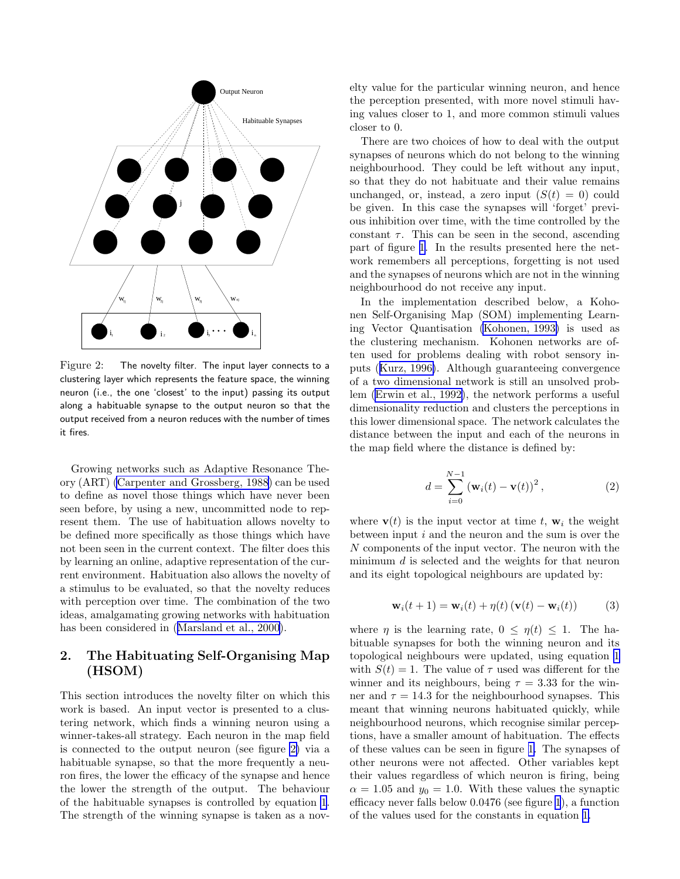

Figure 2: The novelty filter. The input layer connects to a clustering layer which represents the feature space, the winning neuron (i.e., the one 'closest' to the input) passing its output along a habituable synapse to the output neuron so that the output received from a neuron reduces with the number of times it fires.

Growing networks such as Adaptive Resonance Theory (ART) [\(Carpenter and Grossberg, 1988\)](#page-8-0) can be used to define as novel those things which have never been seen before, by using a new, uncommitted node to represent them. The use of habituation allows novelty to be defined more specifically as those things which have not been seen in the current context. The filter does this by learning an online, adaptive representation of the current environment. Habituation also allows the novelty of a stimulus to be evaluated, so that the novelty reduces with perception over time. The combination of the two ideas, amalgamating growing networks with habituation has been considered in ([Marsland et al., 2000\)](#page-9-0).

# 2. The Habituating Self-Organising Map (HSOM)

This section introduces the novelty filter on which this work is based. An input vector is presented to a clustering network, which finds a winning neuron using a winner-takes-all strategy. Each neuron in the map field is connected to the output neuron (see figure 2) via a habituable synapse, so that the more frequently a neuron fires, the lower the efficacy of the synapse and hence the lower the strength of the output. The behaviour of the habituable synapses is controlled by equation [1](#page-0-0). The strength of the winning synapse is taken as a novelty value for the particular winning neuron, and hence the perception presented, with more novel stimuli having values closer to 1, and more common stimuli values closer to 0.

There are two choices of how to deal with the output synapses of neurons which do not belong to the winning neighbourhood. They could be left without any input, so that they do not habituate and their value remains unchanged, or, instead, a zero input  $(S(t) = 0)$  could be given. In this case the synapses will 'forget' previous inhibition over time, with the time controlled by the constant  $\tau$ . This can be seen in the second, ascending part of figure [1.](#page-1-0) In the results presented here the network remembers all perceptions, forgetting is not used and the synapses of neurons which are not in the winning neighbourhood do not receive any input.

In the implementation described below, a Kohonen Self-Organising Map (SOM) implementing Learning Vector Quantisation [\(Kohonen, 1993\)](#page-9-0) is used as the clustering mechanism. Kohonen networks are often used for problems dealing with robot sensory inputs ([Kurz, 1996\)](#page-9-0). Although guaranteeing convergence of a two dimensional network is still an unsolved problem [\(Erwin et al., 1992\)](#page-8-0), the network performs a useful dimensionality reduction and clusters the perceptions in this lower dimensional space. The network calculates the distance between the input and each of the neurons in the map field where the distance is defined by:

$$
d = \sum_{i=0}^{N-1} \left( \mathbf{w}_i(t) - \mathbf{v}(t) \right)^2, \tag{2}
$$

where  $\mathbf{v}(t)$  is the input vector at time t,  $\mathbf{w}_i$  the weight between input  $i$  and the neuron and the sum is over the N components of the input vector. The neuron with the minimum  $d$  is selected and the weights for that neuron and its eight topological neighbours are updated by:

$$
\mathbf{w}_i(t+1) = \mathbf{w}_i(t) + \eta(t) \left( \mathbf{v}(t) - \mathbf{w}_i(t) \right) \tag{3}
$$

where  $\eta$  is the learning rate,  $0 \leq \eta(t) \leq 1$ . The habituable synapses for both the winning neuron and its topological neighbours were updated, using equation [1](#page-0-0) with  $S(t) = 1$ . The value of  $\tau$  used was different for the winner and its neighbours, being  $\tau = 3.33$  for the winner and  $\tau = 14.3$  for the neighbourhood synapses. This meant that winning neurons habituated quickly, while neighbourhood neurons, which recognise similar perceptions, have a smaller amount of habituation. The effects of these values can be seen in figure [1.](#page-1-0) The synapses of other neurons were not affected. Other variables kept their values regardless of which neuron is firing, being  $\alpha = 1.05$  and  $y_0 = 1.0$ . With these values the synaptic efficacy never falls below 0.0476 (see figure [1](#page-1-0)), a function of the values used for the constants in equation [1.](#page-0-0)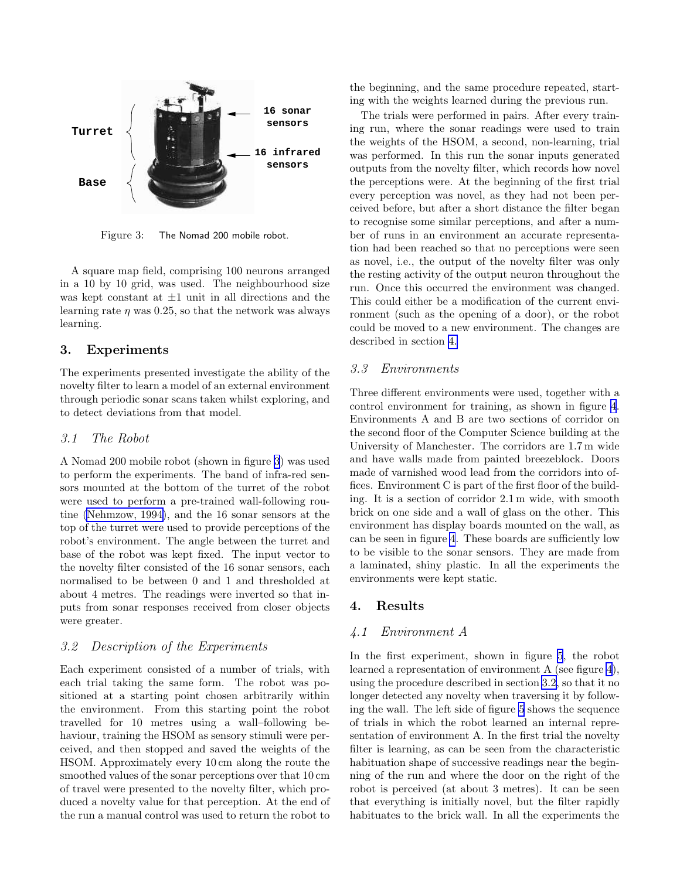<span id="page-3-0"></span>

Figure 3: The Nomad 200 mobile robot.

A square map field, comprising 100 neurons arranged in a 10 by 10 grid, was used. The neighbourhood size was kept constant at  $\pm 1$  unit in all directions and the learning rate  $\eta$  was 0.25, so that the network was always learning.

## 3. Experiments

The experiments presented investigate the ability of the novelty filter to learn a model of an external environment through periodic sonar scans taken whilst exploring, and to detect deviations from that model.

### 3.1 The Robot

A Nomad 200 mobile robot (shown in figure 3) was used to perform the experiments. The band of infra-red sensors mounted at the bottom of the turret of the robot were used to perform a pre-trained wall-following routine [\(Nehmzow, 1994\)](#page-9-0), and the 16 sonar sensors at the top of the turret were used to provide perceptions of the robot's environment. The angle between the turret and base of the robot was kept fixed. The input vector to the novelty filter consisted of the 16 sonar sensors, each normalised to be between 0 and 1 and thresholded at about 4 metres. The readings were inverted so that inputs from sonar responses received from closer objects were greater.

## 3.2 Description of the Experiments

Each experiment consisted of a number of trials, with each trial taking the same form. The robot was positioned at a starting point chosen arbitrarily within the environment. From this starting point the robot travelled for 10 metres using a wall–following behaviour, training the HSOM as sensory stimuli were perceived, and then stopped and saved the weights of the HSOM. Approximately every 10 cm along the route the smoothed values of the sonar perceptions over that 10 cm of travel were presented to the novelty filter, which produced a novelty value for that perception. At the end of the run a manual control was used to return the robot to

the beginning, and the same procedure repeated, starting with the weights learned during the previous run.

The trials were performed in pairs. After every training run, where the sonar readings were used to train the weights of the HSOM, a second, non-learning, trial was performed. In this run the sonar inputs generated outputs from the novelty filter, which records how novel the perceptions were. At the beginning of the first trial every perception was novel, as they had not been perceived before, but after a short distance the filter began to recognise some similar perceptions, and after a number of runs in an environment an accurate representation had been reached so that no perceptions were seen as novel, i.e., the output of the novelty filter was only the resting activity of the output neuron throughout the run. Once this occurred the environment was changed. This could either be a modification of the current environment (such as the opening of a door), or the robot could be moved to a new environment. The changes are described in section 4.

#### 3.3 Environments

Three different environments were used, together with a control environment for training, as shown in figure [4](#page-4-0). Environments A and B are two sections of corridor on the second floor of the Computer Science building at the University of Manchester. The corridors are 1.7 m wide and have walls made from painted breezeblock. Doors made of varnished wood lead from the corridors into offices. Environment C is part of the first floor of the building. It is a section of corridor 2.1 m wide, with smooth brick on one side and a wall of glass on the other. This environment has display boards mounted on the wall, as can be seen in figure [4](#page-4-0). These boards are sufficiently low to be visible to the sonar sensors. They are made from a laminated, shiny plastic. In all the experiments the environments were kept static.

#### 4. Results

#### 4.1 Environment A

In the first experiment, shown in figure [5](#page-5-0), the robot learned a representation of environment A (see figure [4](#page-4-0)), using the procedure described in section 3.2, so that it no longer detected any novelty when traversing it by following the wall. The left side of figure [5](#page-5-0) shows the sequence of trials in which the robot learned an internal representation of environment A. In the first trial the novelty filter is learning, as can be seen from the characteristic habituation shape of successive readings near the beginning of the run and where the door on the right of the robot is perceived (at about 3 metres). It can be seen that everything is initially novel, but the filter rapidly habituates to the brick wall. In all the experiments the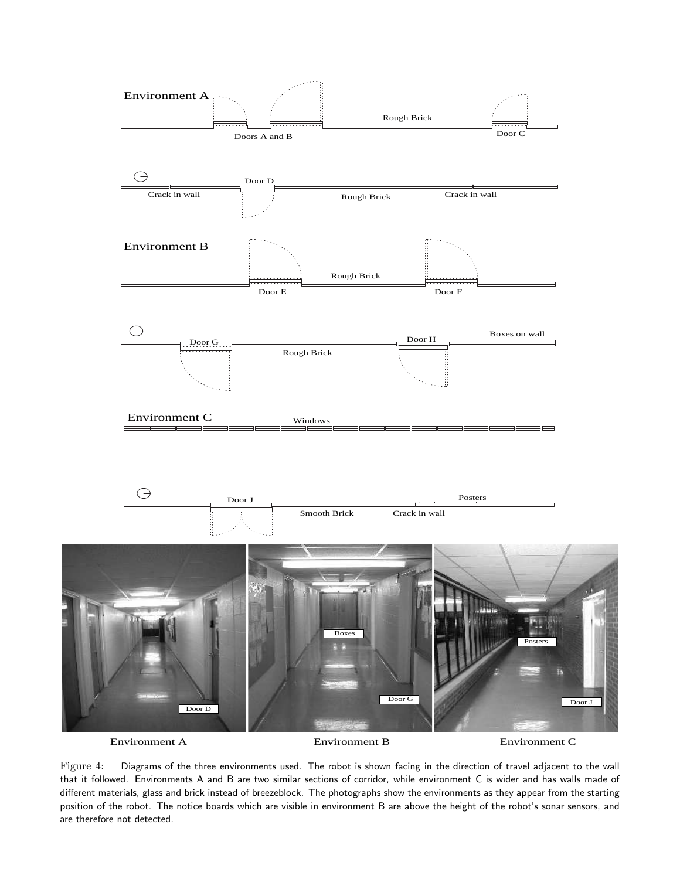<span id="page-4-0"></span>

Figure 4: Diagrams of the three environments used. The robot is shown facing in the direction of travel adjacent to the wall that it followed. Environments A and B are two similar sections of corridor, while environment C is wider and has walls made of different materials, glass and brick instead of breezeblock. The photographs show the environments as they appear from the starting position of the robot. The notice boards which are visible in environment B are above the height of the robot's sonar sensors, and are therefore not detected.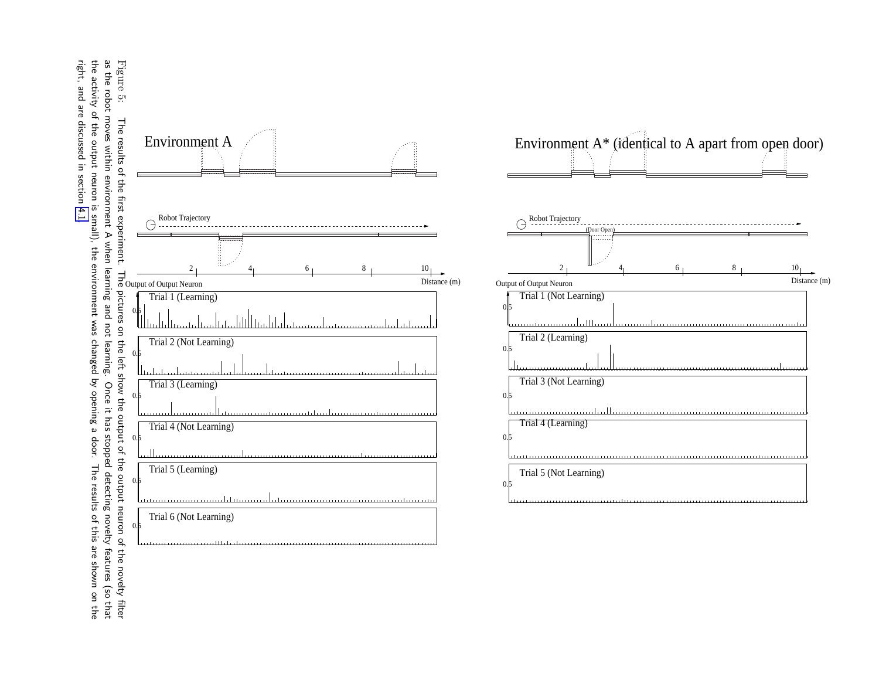<span id="page-5-0"></span>Figure 5: the activity of the output neuron is small), the environment was changed by opening a door.<br>right, and are discussed in section 4.1. as the robot moves within environment A when learning and not learning. Once it has stopped detecting novelty features (so that right, and are discussed in section [4.1.](#page-3-0)the activity of the output neuron is small), the environment was changed by opening a door. The results of this are shown on the as the robot moves within environment A when learning and not learning. Once it has stopped detecting novelty features (so that The results of this are shown on the



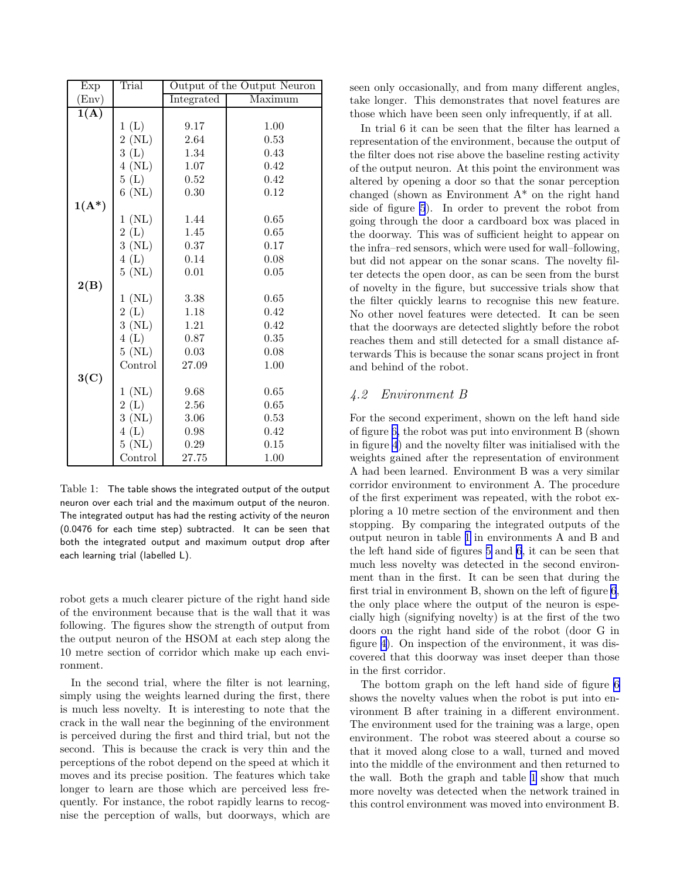<span id="page-6-0"></span>

| Exp            | Trial    | Output of the Output Neuron |         |  |
|----------------|----------|-----------------------------|---------|--|
| $(\text{Env})$ |          | Integrated                  | Maximum |  |
| 1(A)           |          |                             |         |  |
|                | 1(L)     | 9.17                        | 1.00    |  |
|                | 2(NL)    | 2.64                        | 0.53    |  |
|                | 3(L)     | 1.34                        | 0.43    |  |
|                | $4$ (NL) | 1.07                        | 0.42    |  |
|                | 5(L)     | 0.52                        | 0.42    |  |
|                | $6$ (NL) | 0.30                        | 0.12    |  |
| $1(A^*)$       |          |                             |         |  |
|                | 1 (NL)   | 1.44                        | 0.65    |  |
|                | 2(L)     | 1.45                        | 0.65    |  |
|                | 3(NL)    | 0.37                        | 0.17    |  |
|                | 4(L)     | 0.14                        | 0.08    |  |
|                | $5$ (NL) | 0.01                        | 0.05    |  |
| 2(B)           |          |                             |         |  |
|                | 1 (NL)   | 3.38                        | 0.65    |  |
|                | 2(L)     | 1.18                        | 0.42    |  |
|                | 3(NL)    | 1.21                        | 0.42    |  |
|                | 4(L)     | 0.87                        | 0.35    |  |
|                | $5$ (NL) | 0.03                        | 0.08    |  |
|                | Control  | 27.09                       | 1.00    |  |
| 3(C)           |          |                             |         |  |
|                | 1 (NL)   | 9.68                        | 0.65    |  |
|                | 2(L)     | $2.56\,$                    | 0.65    |  |
|                | 3(NL)    | 3.06                        | 0.53    |  |
|                | 4(L)     | 0.98                        | 0.42    |  |
|                | $5$ (NL) | 0.29                        | 0.15    |  |
|                | Control  | 27.75                       | 1.00    |  |

Table 1: The table shows the integrated output of the output neuron over each trial and the maximum output of the neuron. The integrated output has had the resting activity of the neuron (0.0476 for each time step) subtracted. It can be seen that both the integrated output and maximum output drop after each learning trial (labelled L).

robot gets a much clearer picture of the right hand side of the environment because that is the wall that it was following. The figures show the strength of output from the output neuron of the HSOM at each step along the 10 metre section of corridor which make up each environment.

In the second trial, where the filter is not learning, simply using the weights learned during the first, there is much less novelty. It is interesting to note that the crack in the wall near the beginning of the environment is perceived during the first and third trial, but not the second. This is because the crack is very thin and the perceptions of the robot depend on the speed at which it moves and its precise position. The features which take longer to learn are those which are perceived less frequently. For instance, the robot rapidly learns to recognise the perception of walls, but doorways, which are seen only occasionally, and from many different angles, take longer. This demonstrates that novel features are those which have been seen only infrequently, if at all.

In trial 6 it can be seen that the filter has learned a representation of the environment, because the output of the filter does not rise above the baseline resting activity of the output neuron. At this point the environment was altered by opening a door so that the sonar perception changed (shown as Environment A\* on the right hand side of figure [5](#page-5-0)). In order to prevent the robot from going through the door a cardboard box was placed in the doorway. This was of sufficient height to appear on the infra–red sensors, which were used for wall–following, but did not appear on the sonar scans. The novelty filter detects the open door, as can be seen from the burst of novelty in the figure, but successive trials show that the filter quickly learns to recognise this new feature. No other novel features were detected. It can be seen that the doorways are detected slightly before the robot reaches them and still detected for a small distance afterwards This is because the sonar scans project in front and behind of the robot.

## 4.2 Environment B

For the second experiment, shown on the left hand side of figure [6,](#page-7-0) the robot was put into environment B (shown in figure [4](#page-4-0)) and the novelty filter was initialised with the weights gained after the representation of environment A had been learned. Environment B was a very similar corridor environment to environment A. The procedure of the first experiment was repeated, with the robot exploring a 10 metre section of the environment and then stopping. By comparing the integrated outputs of the output neuron in table 1 in environments A and B and the left hand side of figures [5](#page-5-0) and [6](#page-7-0), it can be seen that much less novelty was detected in the second environment than in the first. It can be seen that during the first trial in environment B, shown on the left of figure [6](#page-7-0), the only place where the output of the neuron is especially high (signifying novelty) is at the first of the two doors on the right hand side of the robot (door G in figure [4\)](#page-4-0). On inspection of the environment, it was discovered that this doorway was inset deeper than those in the first corridor.

The bottom graph on the left hand side of figure [6](#page-7-0) shows the novelty values when the robot is put into environment B after training in a different environment. The environment used for the training was a large, open environment. The robot was steered about a course so that it moved along close to a wall, turned and moved into the middle of the environment and then returned to the wall. Both the graph and table 1 show that much more novelty was detected when the network trained in this control environment was moved into environment B.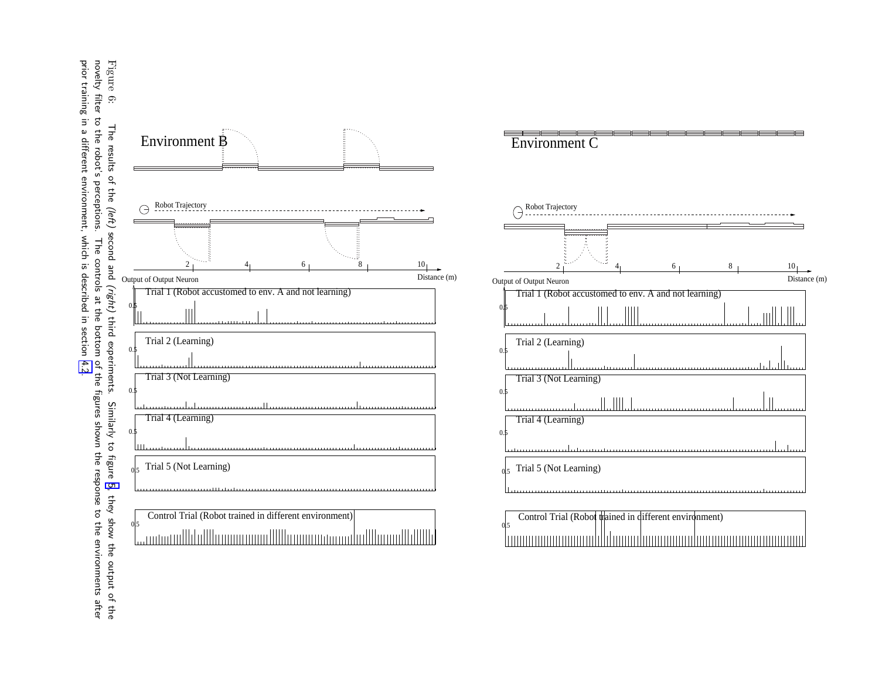<span id="page-7-0"></span>prior training in a different environment, which is described in section 4.2 prior training in a different environment, which is described novelty filter to the robot's perceptions. The controls at the bottom of the figures shown the response to the environments after Figure 6: The results of the (left) second and The controls at the bottom of the figures shown the response to the environments after (right) in section [4.2](#page-6-0).third experiments. Similarly to figure [5](#page-5-0), they show the output of the Similarly to figure 5, they show the output of the



Environment C



|                | Control Trial (Robot trained in different environment) |  |                                               |
|----------------|--------------------------------------------------------|--|-----------------------------------------------|
| 0 <sub>5</sub> |                                                        |  |                                               |
|                |                                                        |  | -lannamanananahlihanadanananahananananananana |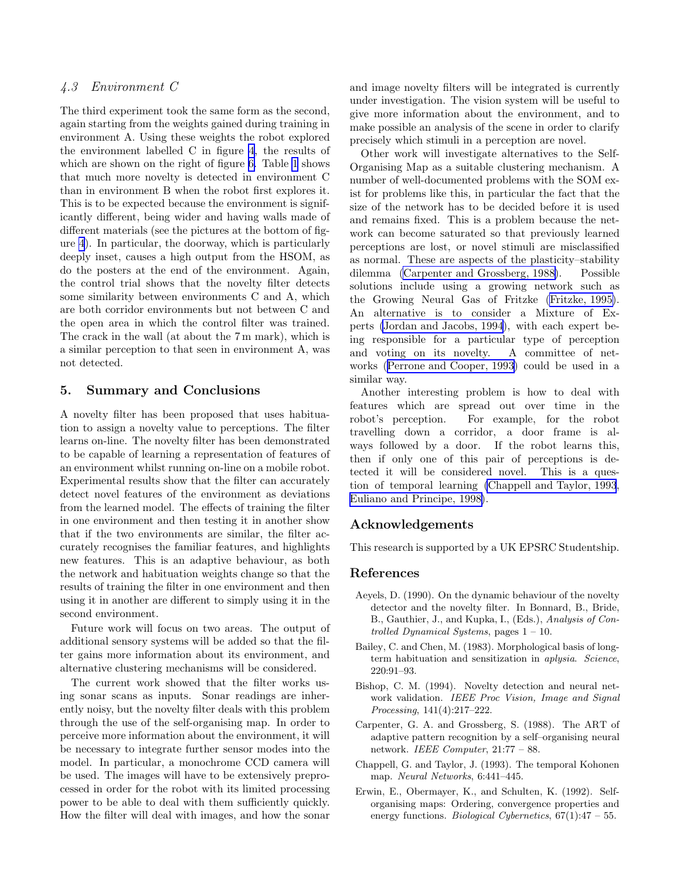# <span id="page-8-0"></span>4.3 Environment C

The third experiment took the same form as the second, again starting from the weights gained during training in environment A. Using these weights the robot explored the environment labelled C in figure [4](#page-4-0), the results of which are shown on the right of figure [6.](#page-7-0) Table [1](#page-6-0) shows that much more novelty is detected in environment C than in environment B when the robot first explores it. This is to be expected because the environment is significantly different, being wider and having walls made of different materials (see the pictures at the bottom of figure [4](#page-4-0)). In particular, the doorway, which is particularly deeply inset, causes a high output from the HSOM, as do the posters at the end of the environment. Again, the control trial shows that the novelty filter detects some similarity between environments C and A, which are both corridor environments but not between C and the open area in which the control filter was trained. The crack in the wall (at about the 7 m mark), which is a similar perception to that seen in environment A, was not detected.

## 5. Summary and Conclusions

A novelty filter has been proposed that uses habituation to assign a novelty value to perceptions. The filter learns on-line. The novelty filter has been demonstrated to be capable of learning a representation of features of an environment whilst running on-line on a mobile robot. Experimental results show that the filter can accurately detect novel features of the environment as deviations from the learned model. The effects of training the filter in one environment and then testing it in another show that if the two environments are similar, the filter accurately recognises the familiar features, and highlights new features. This is an adaptive behaviour, as both the network and habituation weights change so that the results of training the filter in one environment and then using it in another are different to simply using it in the second environment.

Future work will focus on two areas. The output of additional sensory systems will be added so that the filter gains more information about its environment, and alternative clustering mechanisms will be considered.

The current work showed that the filter works using sonar scans as inputs. Sonar readings are inherently noisy, but the novelty filter deals with this problem through the use of the self-organising map. In order to perceive more information about the environment, it will be necessary to integrate further sensor modes into the model. In particular, a monochrome CCD camera will be used. The images will have to be extensively preprocessed in order for the robot with its limited processing power to be able to deal with them sufficiently quickly. How the filter will deal with images, and how the sonar and image novelty filters will be integrated is currently under investigation. The vision system will be useful to give more information about the environment, and to make possible an analysis of the scene in order to clarify precisely which stimuli in a perception are novel.

Other work will investigate alternatives to the Self-Organising Map as a suitable clustering mechanism. A number of well-documented problems with the SOM exist for problems like this, in particular the fact that the size of the network has to be decided before it is used and remains fixed. This is a problem because the network can become saturated so that previously learned perceptions are lost, or novel stimuli are misclassified as normal. These are aspects of the plasticity–stability dilemma (Carpenter and Grossberg, 1988). Possible solutions include using a growing network such as the Growing Neural Gas of Fritzke [\(Fritzke, 1995\)](#page-9-0). An alternative is to consider a Mixture of Experts [\(Jordan and Jacobs, 1994](#page-9-0)), with each expert being responsible for a particular type of perception and voting on its novelty. A committee of networks ([Perrone and Cooper, 1993\)](#page-9-0) could be used in a similar way.

Another interesting problem is how to deal with features which are spread out over time in the robot's perception. For example, for the robot travelling down a corridor, a door frame is always followed by a door. If the robot learns this, then if only one of this pair of perceptions is detected it will be considered novel. This is a question of temporal learning (Chappell and Taylor, 1993, [Euliano and Principe, 1998\)](#page-9-0).

## Acknowledgements

This research is supported by a UK EPSRC Studentship.

#### References

- Aeyels, D. (1990). On the dynamic behaviour of the novelty detector and the novelty filter. In Bonnard, B., Bride, B., Gauthier, J., and Kupka, I., (Eds.), Analysis of Controlled Dynamical Systems, pages 1 – 10.
- Bailey, C. and Chen, M. (1983). Morphological basis of longterm habituation and sensitization in aplysia. Science, 220:91–93.
- Bishop, C. M. (1994). Novelty detection and neural network validation. IEEE Proc Vision, Image and Signal Processing, 141(4):217–222.
- Carpenter, G. A. and Grossberg, S. (1988). The ART of adaptive pattern recognition by a self–organising neural network. IEEE Computer, 21:77 – 88.
- Chappell, G. and Taylor, J. (1993). The temporal Kohonen map. Neural Networks, 6:441–445.
- Erwin, E., Obermayer, K., and Schulten, K. (1992). Selforganising maps: Ordering, convergence properties and energy functions. *Biological Cybernetics*,  $67(1):47 - 55$ .